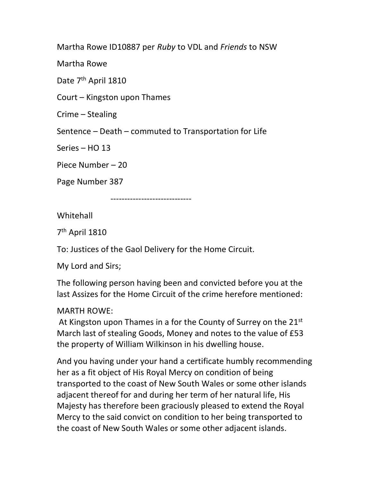Martha Rowe ID10887 per Ruby to VDL and Friends to NSW

Martha Rowe

Date 7<sup>th</sup> April 1810

Court – Kingston upon Thames

Crime – Stealing

Sentence – Death – commuted to Transportation for Life

Series – HO 13

Piece Number – 20

Page Number 387

-----------------------------

**Whitehall** 

7 th April 1810

To: Justices of the Gaol Delivery for the Home Circuit.

My Lord and Sirs;

The following person having been and convicted before you at the last Assizes for the Home Circuit of the crime herefore mentioned:

MARTH ROWE:

At Kingston upon Thames in a for the County of Surrey on the 21st March last of stealing Goods, Money and notes to the value of £53 the property of William Wilkinson in his dwelling house.

And you having under your hand a certificate humbly recommending her as a fit object of His Royal Mercy on condition of being transported to the coast of New South Wales or some other islands adjacent thereof for and during her term of her natural life, His Majesty has therefore been graciously pleased to extend the Royal Mercy to the said convict on condition to her being transported to the coast of New South Wales or some other adjacent islands.